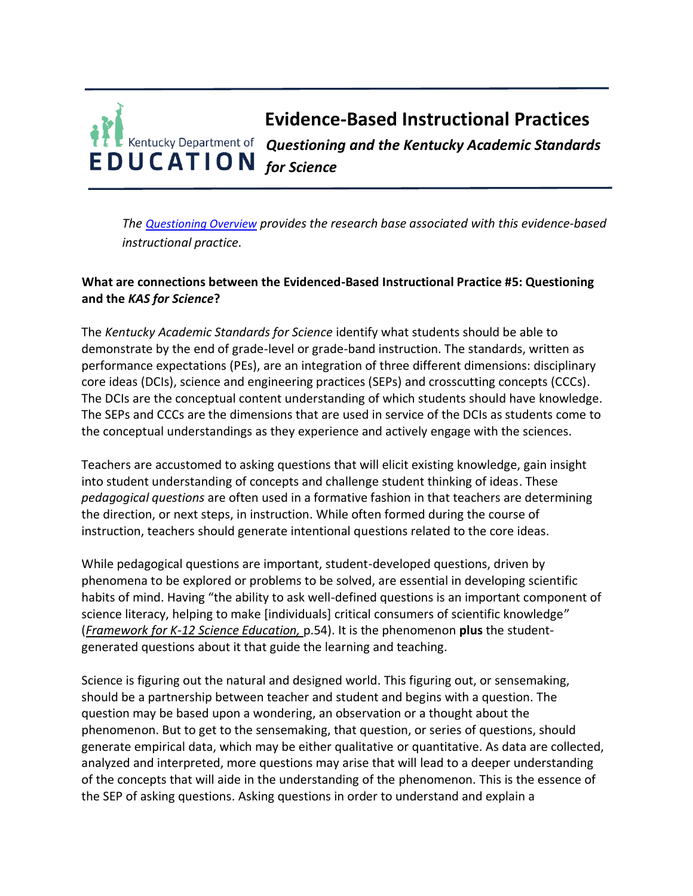## **Evidence-Based Instructional Practices** *Questioning and the Kentucky Academic Standards for Science*

*The [Questioning Overview](https://education.ky.gov/curriculum/standards/kyacadstand/Documents/EBIP_5_Questioning.pdf) provides the research base associated with this evidence-based instructional practice.*

## **What are connections between the Evidenced-Based Instructional Practice #5: Questioning and the** *KAS for Science***?**

The *Kentucky Academic Standards for Science* identify what students should be able to demonstrate by the end of grade-level or grade-band instruction. The standards, written as performance expectations (PEs), are an integration of three different dimensions: disciplinary core ideas (DCIs), science and engineering practices (SEPs) and crosscutting concepts (CCCs). The DCIs are the conceptual content understanding of which students should have knowledge. The SEPs and CCCs are the dimensions that are used in service of the DCIs as students come to the conceptual understandings as they experience and actively engage with the sciences.

Teachers are accustomed to asking questions that will elicit existing knowledge, gain insight into student understanding of concepts and challenge student thinking of ideas. These *pedagogical questions* are often used in a formative fashion in that teachers are determining the direction, or next steps, in instruction. While often formed during the course of instruction, teachers should generate intentional questions related to the core ideas.

While pedagogical questions are important, student-developed questions, driven by phenomena to be explored or problems to be solved, are essential in developing scientific habits of mind. Having "the ability to ask well-defined questions is an important component of science literacy, helping to make [individuals] critical consumers of scientific knowledge" (*Framework for K-12 Science Education,* p.54). It is the phenomenon **plus** the studentgenerated questions about it that guide the learning and teaching.

Science is figuring out the natural and designed world. This figuring out, or sensemaking, should be a partnership between teacher and student and begins with a question. The question may be based upon a wondering, an observation or a thought about the phenomenon. But to get to the sensemaking, that question, or series of questions, should generate empirical data, which may be either qualitative or quantitative. As data are collected, analyzed and interpreted, more questions may arise that will lead to a deeper understanding of the concepts that will aide in the understanding of the phenomenon. This is the essence of the SEP of asking questions. Asking questions in order to understand and explain a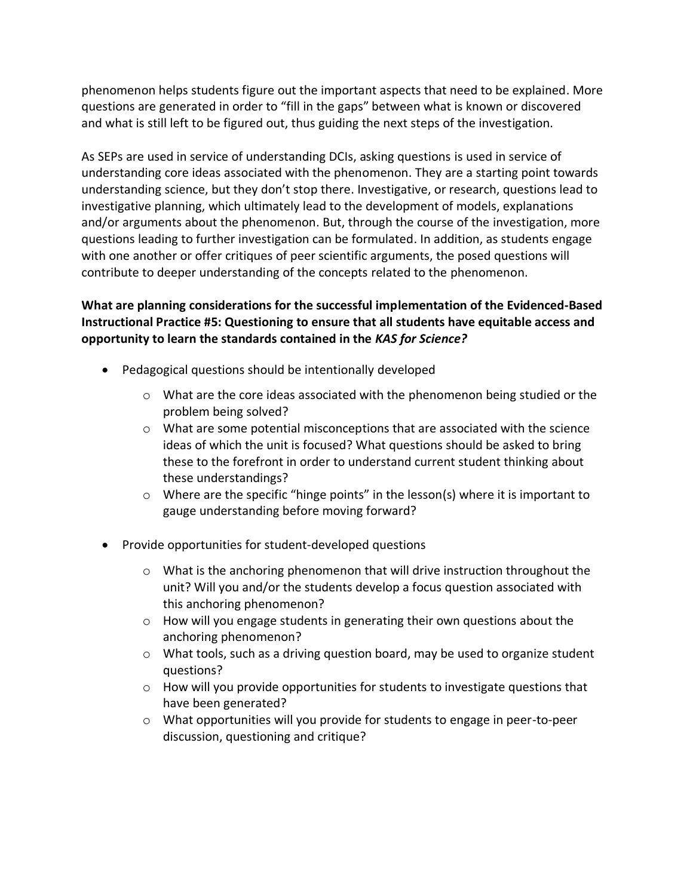phenomenon helps students figure out the important aspects that need to be explained. More questions are generated in order to "fill in the gaps" between what is known or discovered and what is still left to be figured out, thus guiding the next steps of the investigation.

As SEPs are used in service of understanding DCIs, asking questions is used in service of understanding core ideas associated with the phenomenon. They are a starting point towards understanding science, but they don't stop there. Investigative, or research, questions lead to investigative planning, which ultimately lead to the development of models, explanations and/or arguments about the phenomenon. But, through the course of the investigation, more questions leading to further investigation can be formulated. In addition, as students engage with one another or offer critiques of peer scientific arguments, the posed questions will contribute to deeper understanding of the concepts related to the phenomenon.

## **What are planning considerations for the successful implementation of the Evidenced-Based Instructional Practice #5: Questioning to ensure that all students have equitable access and opportunity to learn the standards contained in the** *KAS for Science?*

- Pedagogical questions should be intentionally developed
	- $\circ$  What are the core ideas associated with the phenomenon being studied or the problem being solved?
	- $\circ$  What are some potential misconceptions that are associated with the science ideas of which the unit is focused? What questions should be asked to bring these to the forefront in order to understand current student thinking about these understandings?
	- $\circ$  Where are the specific "hinge points" in the lesson(s) where it is important to gauge understanding before moving forward?
- Provide opportunities for student-developed questions
	- $\circ$  What is the anchoring phenomenon that will drive instruction throughout the unit? Will you and/or the students develop a focus question associated with this anchoring phenomenon?
	- $\circ$  How will you engage students in generating their own questions about the anchoring phenomenon?
	- $\circ$  What tools, such as a driving question board, may be used to organize student questions?
	- $\circ$  How will you provide opportunities for students to investigate questions that have been generated?
	- o What opportunities will you provide for students to engage in peer-to-peer discussion, questioning and critique?